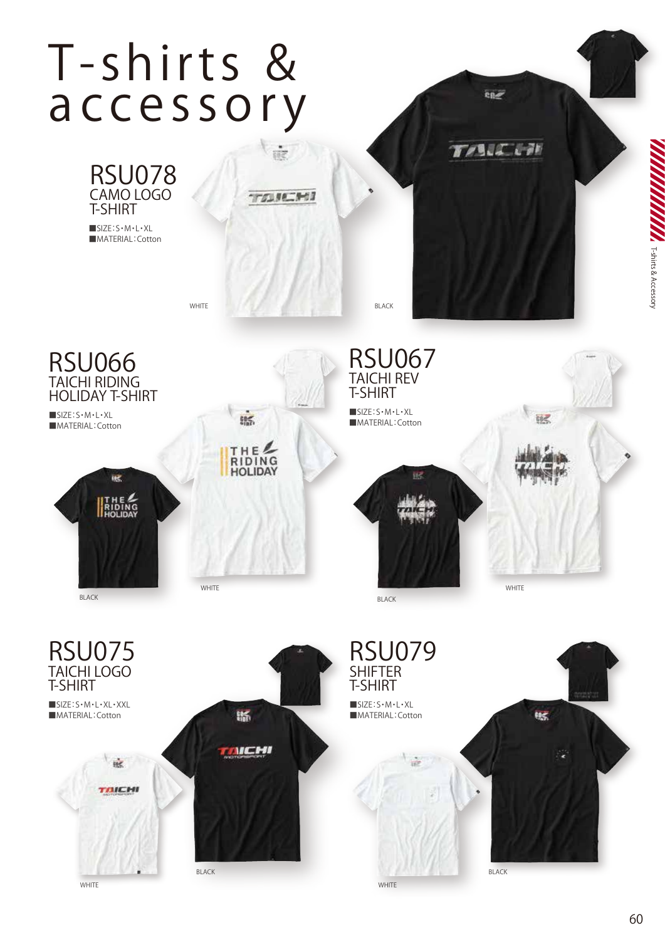## **T- shirts & a c ce s sor y**





■SIZE:S・M・L・XL ■MATERIAL: Cotton



BLACK

![](_page_0_Picture_6.jpeg)

WHITE **BLACK** 

RSU067 TAICHI REV T-SHIRT

■SIZE:S・M・L・XL ■MATERIAL: Cotton

## 感

BLACK

RSU079

WHITE

**SHIFTER** T-SHIRT ■SIZE:S・M・L・XL ■MATERIAL:Cotton

![](_page_0_Picture_11.jpeg)

**WHITE** 

![](_page_0_Picture_13.jpeg)

**TAZ** 

BLACK

ene

TABLE CAR